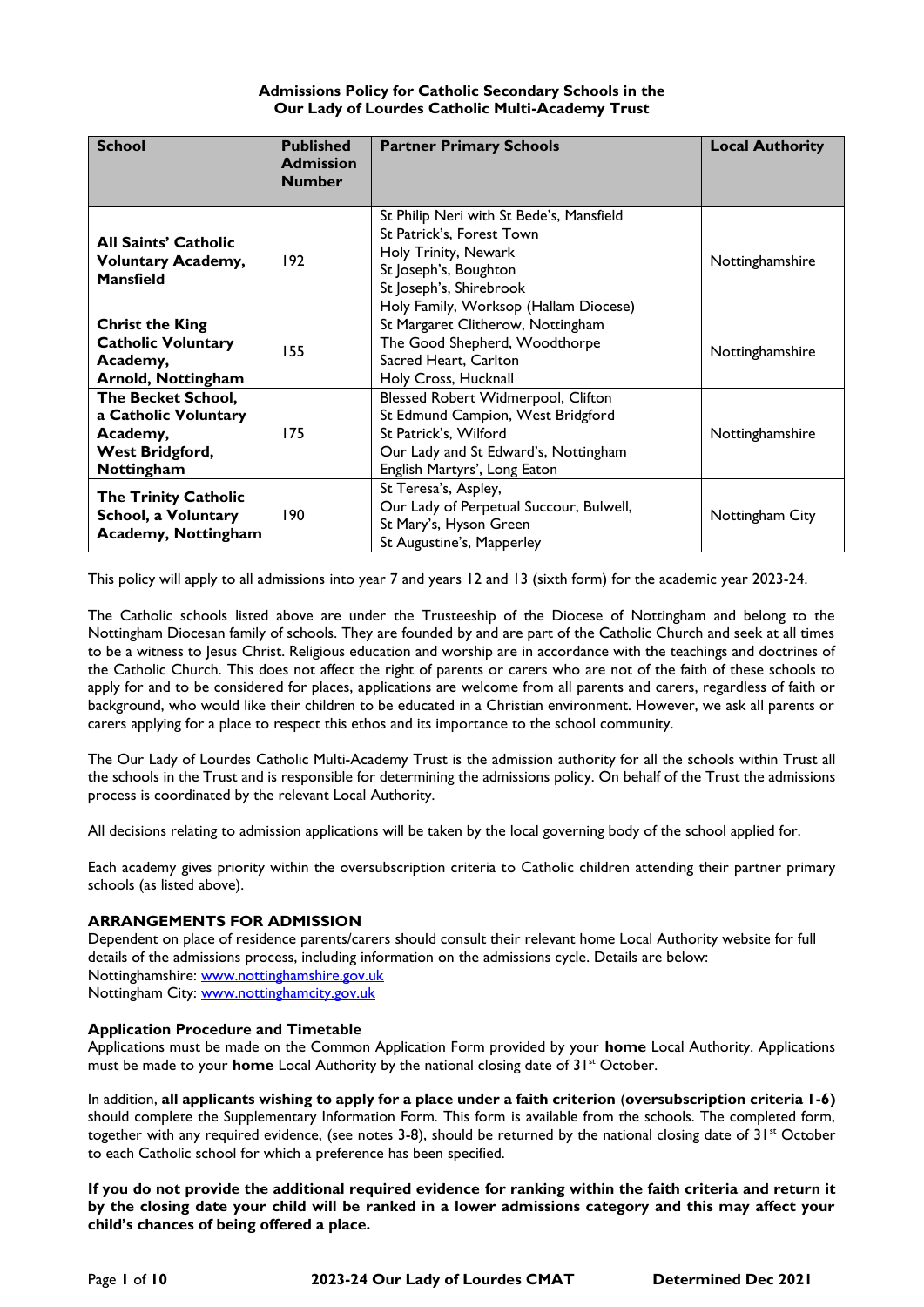# **Admissions Policy for Catholic Secondary Schools in the Our Lady of Lourdes Catholic Multi-Academy Trust**

| <b>School</b>                                                                           | <b>Published</b><br><b>Admission</b><br><b>Number</b> | <b>Partner Primary Schools</b>                                                                                                                                                             | <b>Local Authority</b> |
|-----------------------------------------------------------------------------------------|-------------------------------------------------------|--------------------------------------------------------------------------------------------------------------------------------------------------------------------------------------------|------------------------|
| <b>All Saints' Catholic</b><br><b>Voluntary Academy,</b><br><b>Mansfield</b>            | 192                                                   | St Philip Neri with St Bede's, Mansfield<br>St Patrick's, Forest Town<br>Holy Trinity, Newark<br>St Joseph's, Boughton<br>St Joseph's, Shirebrook<br>Holy Family, Worksop (Hallam Diocese) | Nottinghamshire        |
| <b>Christ the King</b><br><b>Catholic Voluntary</b><br>Academy,<br>Arnold, Nottingham   | 155                                                   | St Margaret Clitherow, Nottingham<br>The Good Shepherd, Woodthorpe<br>Sacred Heart, Carlton<br>Holy Cross, Hucknall                                                                        | Nottinghamshire        |
| The Becket School,<br>a Catholic Voluntary<br>Academy,<br>West Bridgford,<br>Nottingham | 175                                                   | Blessed Robert Widmerpool, Clifton<br>St Edmund Campion, West Bridgford<br>St Patrick's, Wilford<br>Our Lady and St Edward's, Nottingham<br>English Martyrs', Long Eaton                   | Nottinghamshire        |
| <b>The Trinity Catholic</b><br>School, a Voluntary<br><b>Academy, Nottingham</b>        | 190                                                   | St Teresa's, Aspley,<br>Our Lady of Perpetual Succour, Bulwell,<br>St Mary's, Hyson Green<br>St Augustine's, Mapperley                                                                     | Nottingham City        |

This policy will apply to all admissions into year 7 and years 12 and 13 (sixth form) for the academic year 2023-24.

The Catholic schools listed above are under the Trusteeship of the Diocese of Nottingham and belong to the Nottingham Diocesan family of schools. They are founded by and are part of the Catholic Church and seek at all times to be a witness to Jesus Christ. Religious education and worship are in accordance with the teachings and doctrines of the Catholic Church. This does not affect the right of parents or carers who are not of the faith of these schools to apply for and to be considered for places, applications are welcome from all parents and carers, regardless of faith or background, who would like their children to be educated in a Christian environment. However, we ask all parents or carers applying for a place to respect this ethos and its importance to the school community.

The Our Lady of Lourdes Catholic Multi-Academy Trust is the admission authority for all the schools within Trust all the schools in the Trust and is responsible for determining the admissions policy. On behalf of the Trust the admissions process is coordinated by the relevant Local Authority.

All decisions relating to admission applications will be taken by the local governing body of the school applied for.

Each academy gives priority within the oversubscription criteria to Catholic children attending their partner primary schools (as listed above).

## **ARRANGEMENTS FOR ADMISSION**

Dependent on place of residence parents/carers should consult their relevant home Local Authority website for full details of the admissions process, including information on the admissions cycle. Details are below: Nottinghamshire: [www.nottinghamshire.gov.uk](http://www.nottinghamshire.gov.uk/) Nottingham City: [www.nottinghamcity.gov.uk](http://www.nottinghamcity.gov.uk/)

## **Application Procedure and Timetable**

Applications must be made on the Common Application Form provided by your **home** Local Authority. Applications must be made to your **home** Local Authority by the national closing date of 31<sup>st</sup> October.

In addition, **all applicants wishing to apply for a place under a faith criterion** (**oversubscription criteria 1-6)** should complete the Supplementary Information Form. This form is available from the schools. The completed form, together with any required evidence, (see notes 3-8), should be returned by the national closing date of  $31^{st}$  October to each Catholic school for which a preference has been specified.

**If you do not provide the additional required evidence for ranking within the faith criteria and return it by the closing date your child will be ranked in a lower admissions category and this may affect your child's chances of being offered a place.**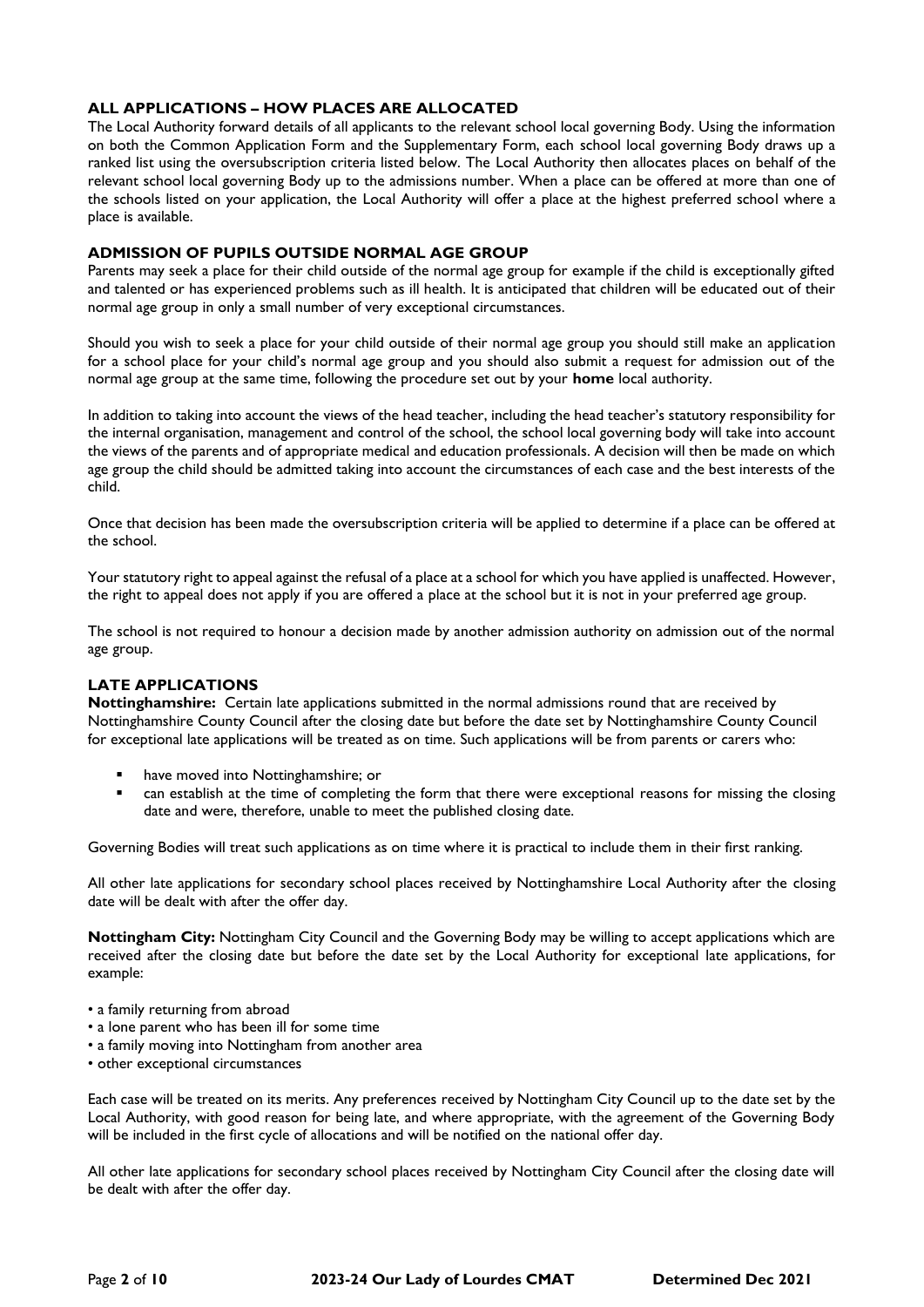# **ALL APPLICATIONS – HOW PLACES ARE ALLOCATED**

The Local Authority forward details of all applicants to the relevant school local governing Body. Using the information on both the Common Application Form and the Supplementary Form, each school local governing Body draws up a ranked list using the oversubscription criteria listed below. The Local Authority then allocates places on behalf of the relevant school local governing Body up to the admissions number. When a place can be offered at more than one of the schools listed on your application, the Local Authority will offer a place at the highest preferred school where a place is available.

## **ADMISSION OF PUPILS OUTSIDE NORMAL AGE GROUP**

Parents may seek a place for their child outside of the normal age group for example if the child is exceptionally gifted and talented or has experienced problems such as ill health. It is anticipated that children will be educated out of their normal age group in only a small number of very exceptional circumstances.

Should you wish to seek a place for your child outside of their normal age group you should still make an application for a school place for your child's normal age group and you should also submit a request for admission out of the normal age group at the same time, following the procedure set out by your **home** local authority.

In addition to taking into account the views of the head teacher, including the head teacher's statutory responsibility for the internal organisation, management and control of the school, the school local governing body will take into account the views of the parents and of appropriate medical and education professionals. A decision will then be made on which age group the child should be admitted taking into account the circumstances of each case and the best interests of the child.

Once that decision has been made the oversubscription criteria will be applied to determine if a place can be offered at the school.

Your statutory right to appeal against the refusal of a place at a school for which you have applied is unaffected. However, the right to appeal does not apply if you are offered a place at the school but it is not in your preferred age group.

The school is not required to honour a decision made by another admission authority on admission out of the normal age group.

# **LATE APPLICATIONS**

**Nottinghamshire:** Certain late applications submitted in the normal admissions round that are received by Nottinghamshire County Council after the closing date but before the date set by Nottinghamshire County Council for exceptional late applications will be treated as on time. Such applications will be from parents or carers who:

- have moved into Nottinghamshire; or
- can establish at the time of completing the form that there were exceptional reasons for missing the closing date and were, therefore, unable to meet the published closing date.

Governing Bodies will treat such applications as on time where it is practical to include them in their first ranking.

All other late applications for secondary school places received by Nottinghamshire Local Authority after the closing date will be dealt with after the offer day.

**Nottingham City:** Nottingham City Council and the Governing Body may be willing to accept applications which are received after the closing date but before the date set by the Local Authority for exceptional late applications, for example:

- a family returning from abroad
- a lone parent who has been ill for some time
- a family moving into Nottingham from another area
- other exceptional circumstances

Each case will be treated on its merits. Any preferences received by Nottingham City Council up to the date set by the Local Authority, with good reason for being late, and where appropriate, with the agreement of the Governing Body will be included in the first cycle of allocations and will be notified on the national offer day.

All other late applications for secondary school places received by Nottingham City Council after the closing date will be dealt with after the offer day.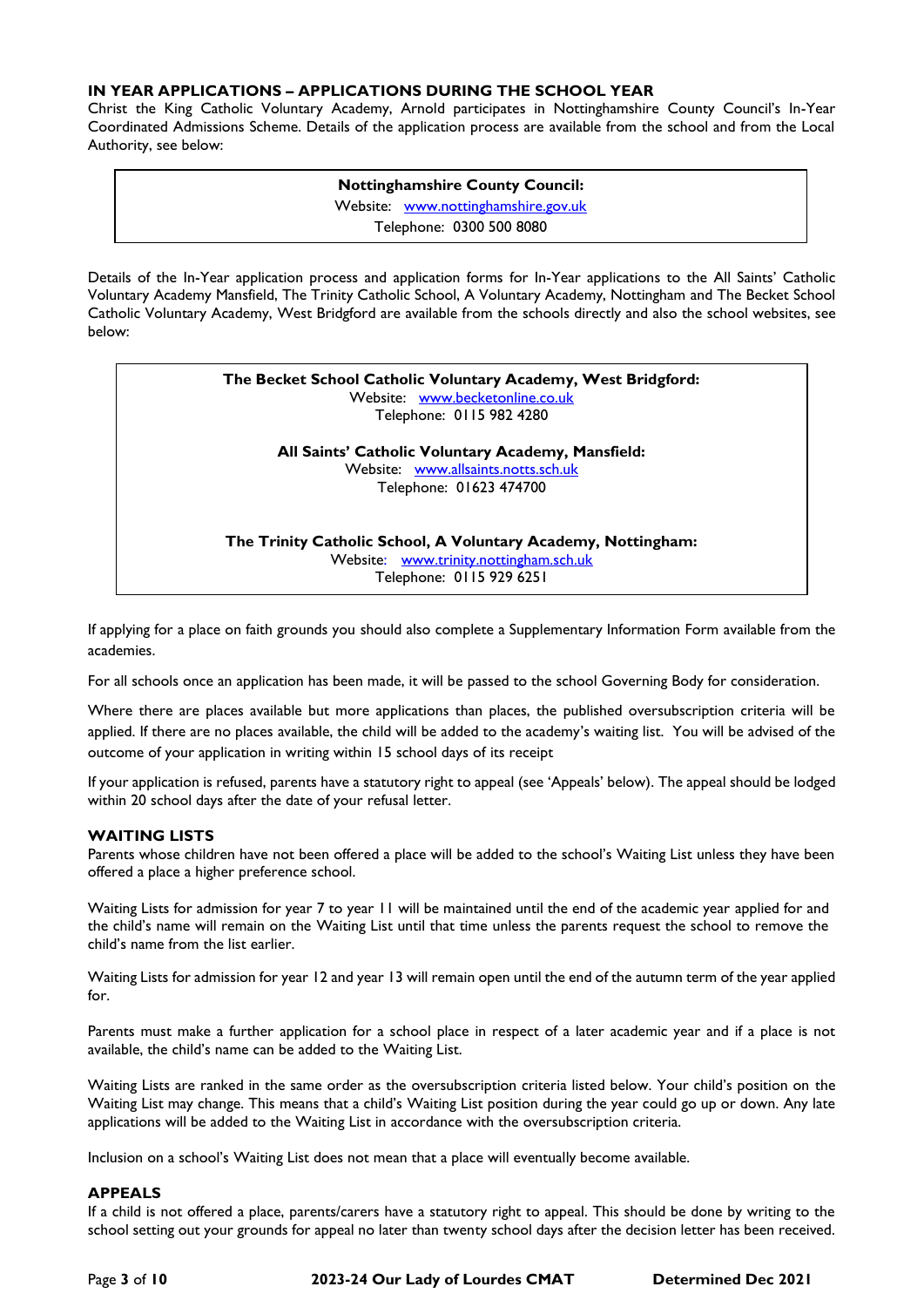# **IN YEAR APPLICATIONS – APPLICATIONS DURING THE SCHOOL YEAR**

Christ the King Catholic Voluntary Academy, Arnold participates in Nottinghamshire County Council's In-Year Coordinated Admissions Scheme. Details of the application process are available from the school and from the Local Authority, see below:

> **Nottinghamshire County Council:** Website: [www.nottinghamshire.gov.uk](http://www.nottinghamshire.gov.uk/) Telephone: 0300 500 8080

Details of the In-Year application process and application forms for In-Year applications to the All Saints' Catholic Voluntary Academy Mansfield, The Trinity Catholic School, A Voluntary Academy, Nottingham and The Becket School Catholic Voluntary Academy, West Bridgford are available from the schools directly and also the school websites, see below:

| The Becket School Catholic Voluntary Academy, West Bridgford:<br>Website: www.becketonline.co.uk<br>Telephone: 0115 982 4280        |  |
|-------------------------------------------------------------------------------------------------------------------------------------|--|
| All Saints' Catholic Voluntary Academy, Mansfield:<br>Website: www.allsaints.notts.sch.uk<br>Telephone: 01623 474700                |  |
| The Trinity Catholic School, A Voluntary Academy, Nottingham:<br>Website: www.trinity.nottingham.sch.uk<br>Telephone: 0115 929 6251 |  |

If applying for a place on faith grounds you should also complete a Supplementary Information Form available from the academies.

For all schools once an application has been made, it will be passed to the school Governing Body for consideration.

Where there are places available but more applications than places, the published oversubscription criteria will be applied. If there are no places available, the child will be added to the academy's waiting list. You will be advised of the outcome of your application in writing within 15 school days of its receipt

If your application is refused, parents have a statutory right to appeal (see 'Appeals' below). The appeal should be lodged within 20 school days after the date of your refusal letter.

## **WAITING LISTS**

Parents whose children have not been offered a place will be added to the school's Waiting List unless they have been offered a place a higher preference school.

Waiting Lists for admission for year 7 to year 11 will be maintained until the end of the academic year applied for and the child's name will remain on the Waiting List until that time unless the parents request the school to remove the child's name from the list earlier.

Waiting Lists for admission for year 12 and year 13 will remain open until the end of the autumn term of the year applied for.

Parents must make a further application for a school place in respect of a later academic year and if a place is not available, the child's name can be added to the Waiting List.

Waiting Lists are ranked in the same order as the oversubscription criteria listed below. Your child's position on the Waiting List may change. This means that a child's Waiting List position during the year could go up or down. Any late applications will be added to the Waiting List in accordance with the oversubscription criteria.

Inclusion on a school's Waiting List does not mean that a place will eventually become available.

## **APPEALS**

If a child is not offered a place, parents/carers have a statutory right to appeal. This should be done by writing to the school setting out your grounds for appeal no later than twenty school days after the decision letter has been received.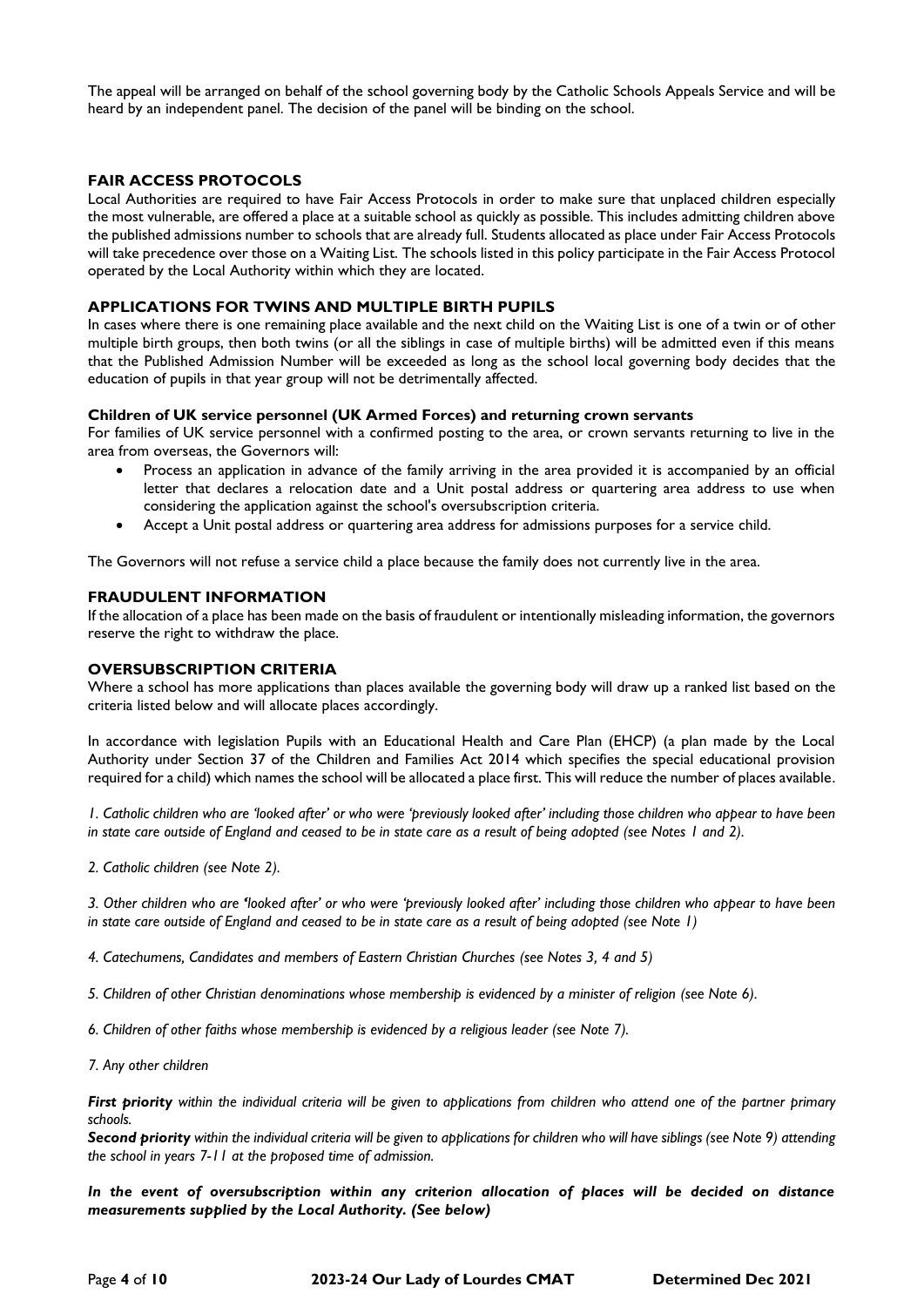The appeal will be arranged on behalf of the school governing body by the Catholic Schools Appeals Service and will be heard by an independent panel. The decision of the panel will be binding on the school.

## **FAIR ACCESS PROTOCOLS**

Local Authorities are required to have Fair Access Protocols in order to make sure that unplaced children especially the most vulnerable, are offered a place at a suitable school as quickly as possible. This includes admitting children above the published admissions number to schools that are already full. Students allocated as place under Fair Access Protocols will take precedence over those on a Waiting List. The schools listed in this policy participate in the Fair Access Protocol operated by the Local Authority within which they are located.

#### **APPLICATIONS FOR TWINS AND MULTIPLE BIRTH PUPILS**

In cases where there is one remaining place available and the next child on the Waiting List is one of a twin or of other multiple birth groups, then both twins (or all the siblings in case of multiple births) will be admitted even if this means that the Published Admission Number will be exceeded as long as the school local governing body decides that the education of pupils in that year group will not be detrimentally affected.

#### **Children of UK service personnel (UK Armed Forces) and returning crown servants**

For families of UK service personnel with a confirmed posting to the area, or crown servants returning to live in the area from overseas, the Governors will:

- Process an application in advance of the family arriving in the area provided it is accompanied by an official letter that declares a relocation date and a Unit postal address or quartering area address to use when considering the application against the school's oversubscription criteria.
- Accept a Unit postal address or quartering area address for admissions purposes for a service child.

The Governors will not refuse a service child a place because the family does not currently live in the area.

#### **FRAUDULENT INFORMATION**

If the allocation of a place has been made on the basis of fraudulent or intentionally misleading information, the governors reserve the right to withdraw the place.

#### **OVERSUBSCRIPTION CRITERIA**

Where a school has more applications than places available the governing body will draw up a ranked list based on the criteria listed below and will allocate places accordingly.

In accordance with legislation Pupils with an Educational Health and Care Plan (EHCP) (a plan made by the Local Authority under Section 37 of the Children and Families Act 2014 which specifies the special educational provision required for a child) which names the school will be allocated a place first. This will reduce the number of places available.

*1. Catholic children who are 'looked after' or who were 'previously looked after' including those children who appear to have been in state care outside of England and ceased to be in state care as a result of being adopted (see Notes 1 and 2).*

*2. Catholic children (see Note 2).*

*3. Other children who are 'looked after' or who were 'previously looked after' including those children who appear to have been in state care outside of England and ceased to be in state care as a result of being adopted (see Note 1)*

*4. Catechumens, Candidates and members of Eastern Christian Churches (see Notes 3, 4 and 5)*

*5. Children of other Christian denominations whose membership is evidenced by a minister of religion (see Note 6).*

*6. Children of other faiths whose membership is evidenced by a religious leader (see Note 7).*

*7. Any other children*

*First priority within the individual criteria will be given to applications from children who attend one of the partner primary schools.*

*Second priority within the individual criteria will be given to applications for children who will have siblings (see Note 9) attending the school in years 7-11 at the proposed time of admission.*

*In the event of oversubscription within any criterion allocation of places will be decided on distance measurements supplied by the Local Authority. (See below)*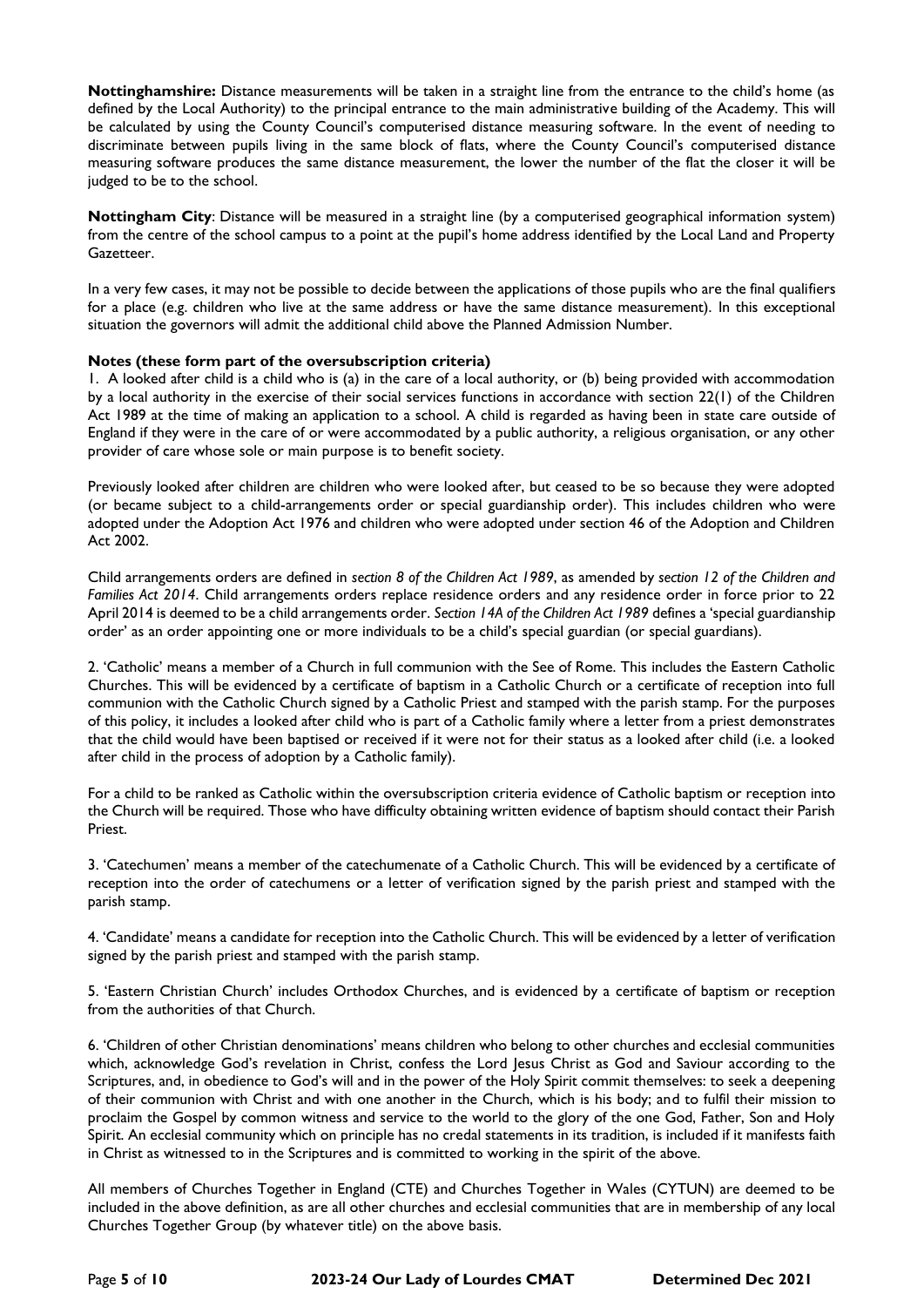**Nottinghamshire:** Distance measurements will be taken in a straight line from the entrance to the child's home (as defined by the Local Authority) to the principal entrance to the main administrative building of the Academy. This will be calculated by using the County Council's computerised distance measuring software. In the event of needing to discriminate between pupils living in the same block of flats, where the County Council's computerised distance measuring software produces the same distance measurement, the lower the number of the flat the closer it will be judged to be to the school.

**Nottingham City**: Distance will be measured in a straight line (by a computerised geographical information system) from the centre of the school campus to a point at the pupil's home address identified by the Local Land and Property Gazetteer.

In a very few cases, it may not be possible to decide between the applications of those pupils who are the final qualifiers for a place (e.g. children who live at the same address or have the same distance measurement). In this exceptional situation the governors will admit the additional child above the Planned Admission Number.

# **Notes (these form part of the oversubscription criteria)**

1. A looked after child is a child who is (a) in the care of a local authority, or (b) being provided with accommodation by a local authority in the exercise of their social services functions in accordance with section 22(1) of the Children Act 1989 at the time of making an application to a school. A child is regarded as having been in state care outside of England if they were in the care of or were accommodated by a public authority, a religious organisation, or any other provider of care whose sole or main purpose is to benefit society.

Previously looked after children are children who were looked after, but ceased to be so because they were adopted (or became subject to a child-arrangements order or special guardianship order). This includes children who were adopted under the Adoption Act 1976 and children who were adopted under section 46 of the Adoption and Children Act 2002.

Child arrangements orders are defined in *section 8 of the Children Act 1989*, as amended by *section 12 of the Children and Families Act 2014*. Child arrangements orders replace residence orders and any residence order in force prior to 22 April 2014 is deemed to be a child arrangements order. *Section 14A of the Children Act 1989* defines a 'special guardianship order' as an order appointing one or more individuals to be a child's special guardian (or special guardians).

2. 'Catholic' means a member of a Church in full communion with the See of Rome. This includes the Eastern Catholic Churches. This will be evidenced by a certificate of baptism in a Catholic Church or a certificate of reception into full communion with the Catholic Church signed by a Catholic Priest and stamped with the parish stamp. For the purposes of this policy, it includes a looked after child who is part of a Catholic family where a letter from a priest demonstrates that the child would have been baptised or received if it were not for their status as a looked after child (i.e. a looked after child in the process of adoption by a Catholic family).

For a child to be ranked as Catholic within the oversubscription criteria evidence of Catholic baptism or reception into the Church will be required. Those who have difficulty obtaining written evidence of baptism should contact their Parish Priest.

3. 'Catechumen' means a member of the catechumenate of a Catholic Church. This will be evidenced by a certificate of reception into the order of catechumens or a letter of verification signed by the parish priest and stamped with the parish stamp.

4. 'Candidate' means a candidate for reception into the Catholic Church. This will be evidenced by a letter of verification signed by the parish priest and stamped with the parish stamp.

5. 'Eastern Christian Church' includes Orthodox Churches, and is evidenced by a certificate of baptism or reception from the authorities of that Church.

6. 'Children of other Christian denominations' means children who belong to other churches and ecclesial communities which, acknowledge God's revelation in Christ, confess the Lord Jesus Christ as God and Saviour according to the Scriptures, and, in obedience to God's will and in the power of the Holy Spirit commit themselves: to seek a deepening of their communion with Christ and with one another in the Church, which is his body; and to fulfil their mission to proclaim the Gospel by common witness and service to the world to the glory of the one God, Father, Son and Holy Spirit. An ecclesial community which on principle has no credal statements in its tradition, is included if it manifests faith in Christ as witnessed to in the Scriptures and is committed to working in the spirit of the above.

All members of Churches Together in England (CTE) and Churches Together in Wales (CYTUN) are deemed to be included in the above definition, as are all other churches and ecclesial communities that are in membership of any local Churches Together Group (by whatever title) on the above basis.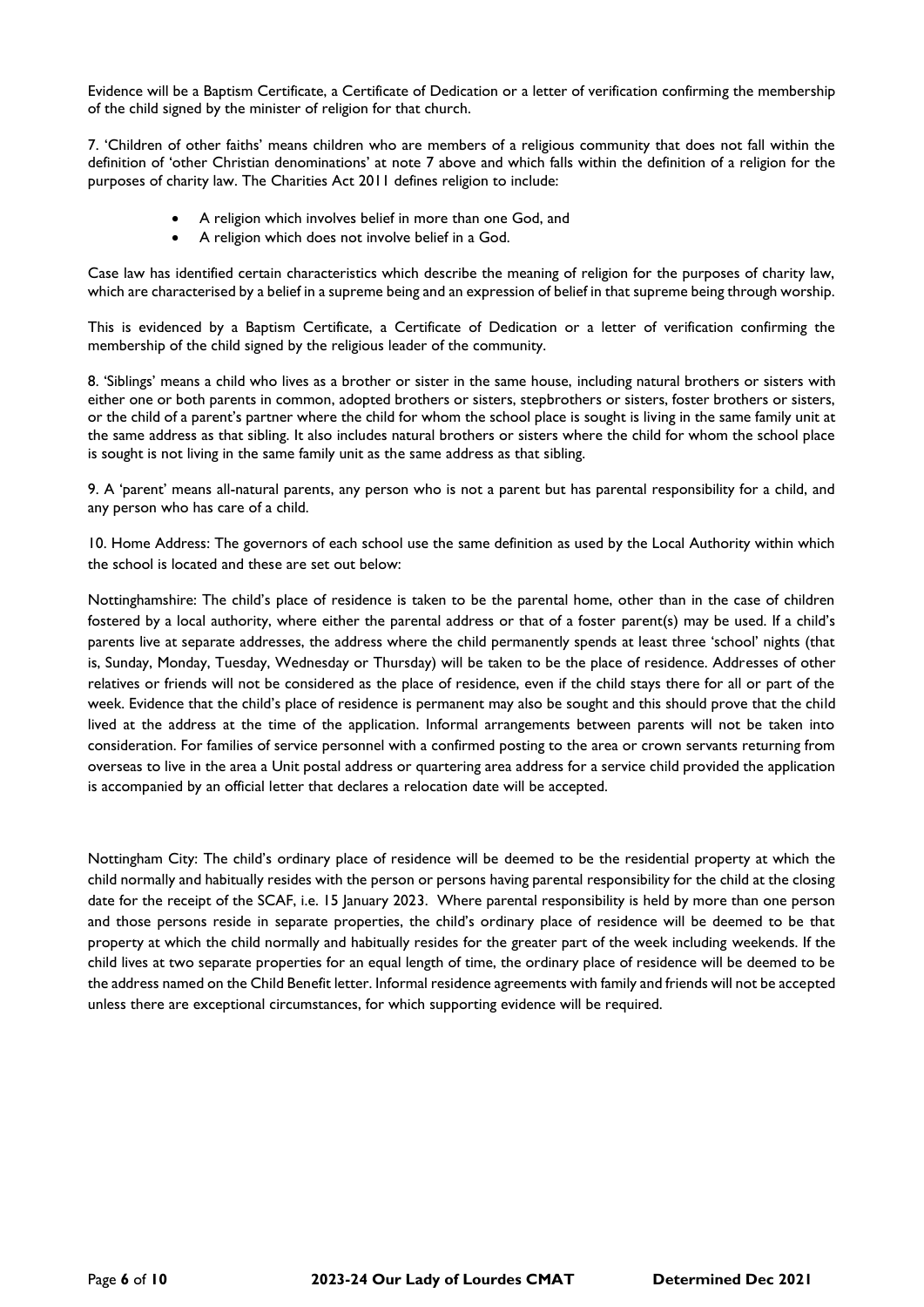Evidence will be a Baptism Certificate, a Certificate of Dedication or a letter of verification confirming the membership of the child signed by the minister of religion for that church.

7. 'Children of other faiths' means children who are members of a religious community that does not fall within the definition of 'other Christian denominations' at note 7 above and which falls within the definition of a religion for the purposes of charity law. The Charities Act 2011 defines religion to include:

- A religion which involves belief in more than one God, and
- A religion which does not involve belief in a God.

Case law has identified certain characteristics which describe the meaning of religion for the purposes of charity law, which are characterised by a belief in a supreme being and an expression of belief in that supreme being through worship.

This is evidenced by a Baptism Certificate, a Certificate of Dedication or a letter of verification confirming the membership of the child signed by the religious leader of the community.

8. 'Siblings' means a child who lives as a brother or sister in the same house, including natural brothers or sisters with either one or both parents in common, adopted brothers or sisters, stepbrothers or sisters, foster brothers or sisters, or the child of a parent's partner where the child for whom the school place is sought is living in the same family unit at the same address as that sibling. It also includes natural brothers or sisters where the child for whom the school place is sought is not living in the same family unit as the same address as that sibling.

9. A 'parent' means all-natural parents, any person who is not a parent but has parental responsibility for a child, and any person who has care of a child.

10. Home Address: The governors of each school use the same definition as used by the Local Authority within which the school is located and these are set out below:

Nottinghamshire: The child's place of residence is taken to be the parental home, other than in the case of children fostered by a local authority, where either the parental address or that of a foster parent(s) may be used. If a child's parents live at separate addresses, the address where the child permanently spends at least three 'school' nights (that is, Sunday, Monday, Tuesday, Wednesday or Thursday) will be taken to be the place of residence. Addresses of other relatives or friends will not be considered as the place of residence, even if the child stays there for all or part of the week. Evidence that the child's place of residence is permanent may also be sought and this should prove that the child lived at the address at the time of the application. Informal arrangements between parents will not be taken into consideration. For families of service personnel with a confirmed posting to the area or crown servants returning from overseas to live in the area a Unit postal address or quartering area address for a service child provided the application is accompanied by an official letter that declares a relocation date will be accepted.

Nottingham City: The child's ordinary place of residence will be deemed to be the residential property at which the child normally and habitually resides with the person or persons having parental responsibility for the child at the closing date for the receipt of the SCAF, i.e. 15 January 2023. Where parental responsibility is held by more than one person and those persons reside in separate properties, the child's ordinary place of residence will be deemed to be that property at which the child normally and habitually resides for the greater part of the week including weekends. If the child lives at two separate properties for an equal length of time, the ordinary place of residence will be deemed to be the address named on the Child Benefit letter. Informal residence agreements with family and friends will not be accepted unless there are exceptional circumstances, for which supporting evidence will be required.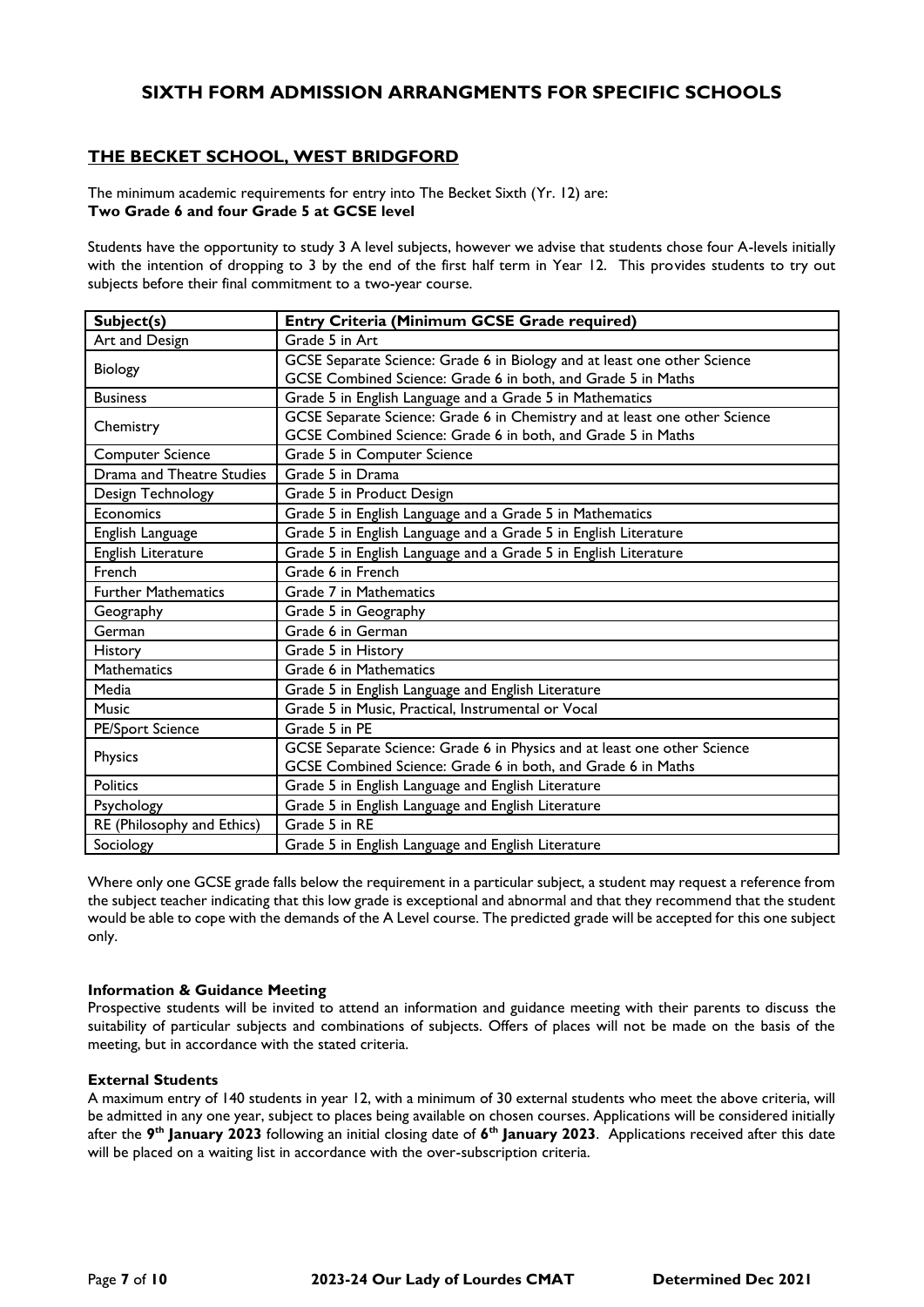# **SIXTH FORM ADMISSION ARRANGMENTS FOR SPECIFIC SCHOOLS**

# **THE BECKET SCHOOL, WEST BRIDGFORD**

The minimum academic requirements for entry into The Becket Sixth (Yr. 12) are: **Two Grade 6 and four Grade 5 at GCSE level**

Students have the opportunity to study 3 A level subjects, however we advise that students chose four A-levels initially with the intention of dropping to 3 by the end of the first half term in Year 12. This provides students to try out subjects before their final commitment to a two-year course.

| Subject(s)                 | Entry Criteria (Minimum GCSE Grade required)                               |  |  |
|----------------------------|----------------------------------------------------------------------------|--|--|
| Art and Design             | Grade 5 in Art                                                             |  |  |
| Biology                    | GCSE Separate Science: Grade 6 in Biology and at least one other Science   |  |  |
|                            | GCSE Combined Science: Grade 6 in both, and Grade 5 in Maths               |  |  |
| <b>Business</b>            | Grade 5 in English Language and a Grade 5 in Mathematics                   |  |  |
| Chemistry                  | GCSE Separate Science: Grade 6 in Chemistry and at least one other Science |  |  |
|                            | GCSE Combined Science: Grade 6 in both, and Grade 5 in Maths               |  |  |
| <b>Computer Science</b>    | Grade 5 in Computer Science                                                |  |  |
| Drama and Theatre Studies  | Grade 5 in Drama                                                           |  |  |
| Design Technology          | Grade 5 in Product Design                                                  |  |  |
| Economics                  | Grade 5 in English Language and a Grade 5 in Mathematics                   |  |  |
| English Language           | Grade 5 in English Language and a Grade 5 in English Literature            |  |  |
| English Literature         | Grade 5 in English Language and a Grade 5 in English Literature            |  |  |
| French                     | Grade 6 in French                                                          |  |  |
| <b>Further Mathematics</b> | Grade 7 in Mathematics                                                     |  |  |
| Geography                  | Grade 5 in Geography                                                       |  |  |
| German                     | Grade 6 in German                                                          |  |  |
| <b>History</b>             | Grade 5 in History                                                         |  |  |
| <b>Mathematics</b>         | Grade 6 in Mathematics                                                     |  |  |
| Media                      | Grade 5 in English Language and English Literature                         |  |  |
| <b>Music</b>               | Grade 5 in Music, Practical, Instrumental or Vocal                         |  |  |
| <b>PE/Sport Science</b>    | Grade 5 in PE                                                              |  |  |
| Physics                    | GCSE Separate Science: Grade 6 in Physics and at least one other Science   |  |  |
|                            | GCSE Combined Science: Grade 6 in both, and Grade 6 in Maths               |  |  |
| <b>Politics</b>            | Grade 5 in English Language and English Literature                         |  |  |
| Psychology                 | Grade 5 in English Language and English Literature                         |  |  |
| RE (Philosophy and Ethics) | Grade 5 in RE                                                              |  |  |
| Sociology                  | Grade 5 in English Language and English Literature                         |  |  |

Where only one GCSE grade falls below the requirement in a particular subject, a student may request a reference from the subject teacher indicating that this low grade is exceptional and abnormal and that they recommend that the student would be able to cope with the demands of the A Level course. The predicted grade will be accepted for this one subject only.

## **Information & Guidance Meeting**

Prospective students will be invited to attend an information and guidance meeting with their parents to discuss the suitability of particular subjects and combinations of subjects. Offers of places will not be made on the basis of the meeting, but in accordance with the stated criteria.

## **External Students**

A maximum entry of 140 students in year 12, with a minimum of 30 external students who meet the above criteria, will be admitted in any one year, subject to places being available on chosen courses. Applications will be considered initially after the **9 th January 2023** following an initial closing date of **6 th January 2023**. Applications received after this date will be placed on a waiting list in accordance with the over-subscription criteria.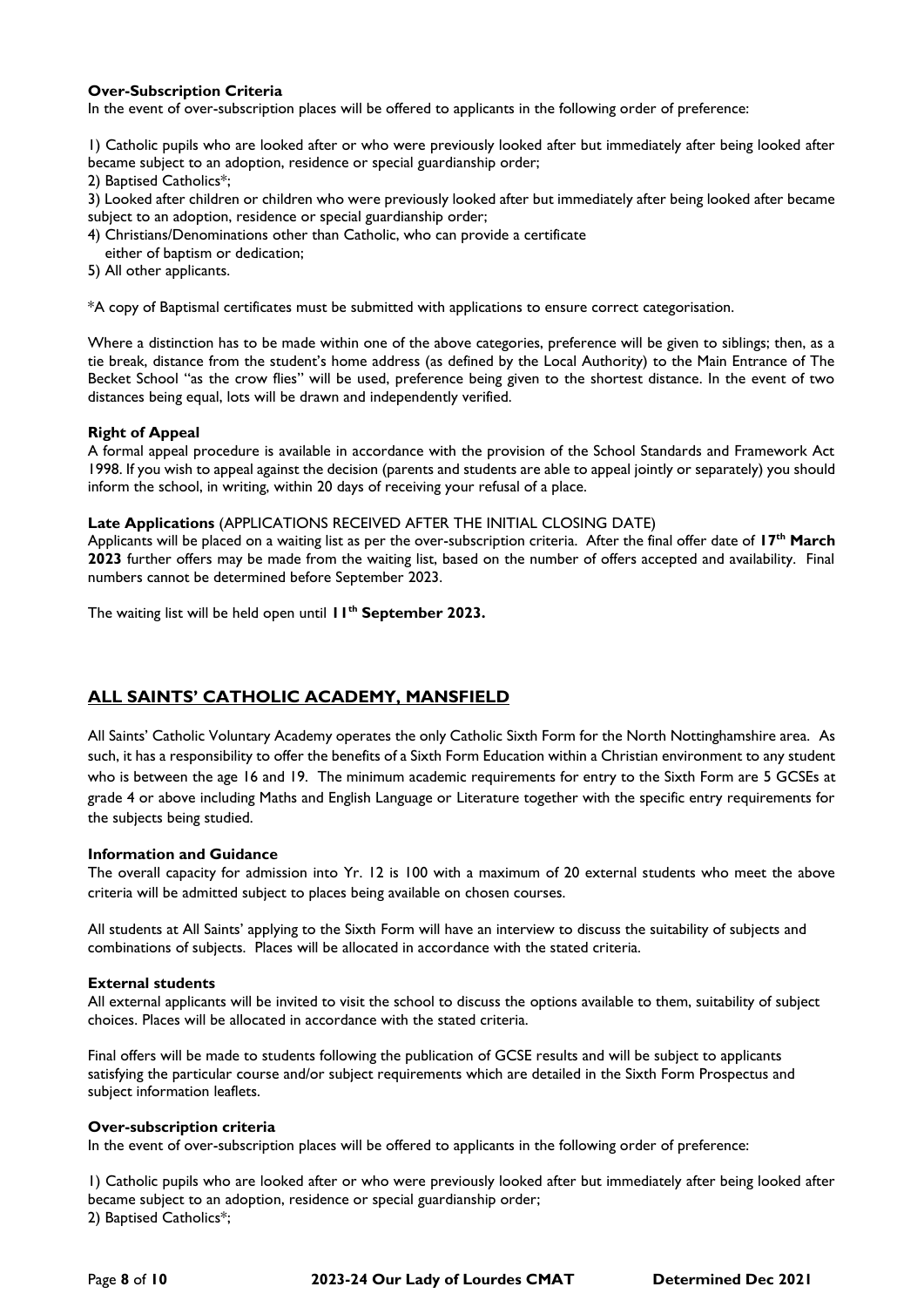# **Over-Subscription Criteria**

In the event of over-subscription places will be offered to applicants in the following order of preference:

1) Catholic pupils who are looked after or who were previously looked after but immediately after being looked after became subject to an adoption, residence or special guardianship order;

2) Baptised Catholics\*;

3) Looked after children or children who were previously looked after but immediately after being looked after became subject to an adoption, residence or special guardianship order;

4) Christians/Denominations other than Catholic, who can provide a certificate

either of baptism or dedication;

5) All other applicants.

\*A copy of Baptismal certificates must be submitted with applications to ensure correct categorisation.

Where a distinction has to be made within one of the above categories, preference will be given to siblings; then, as a tie break, distance from the student's home address (as defined by the Local Authority) to the Main Entrance of The Becket School "as the crow flies" will be used, preference being given to the shortest distance. In the event of two distances being equal, lots will be drawn and independently verified.

#### **Right of Appeal**

A formal appeal procedure is available in accordance with the provision of the School Standards and Framework Act 1998. If you wish to appeal against the decision (parents and students are able to appeal jointly or separately) you should inform the school, in writing, within 20 days of receiving your refusal of a place.

#### **Late Applications** (APPLICATIONS RECEIVED AFTER THE INITIAL CLOSING DATE)

Applicants will be placed on a waiting list as per the over-subscription criteria. After the final offer date of **17th March 2023** further offers may be made from the waiting list, based on the number of offers accepted and availability. Final numbers cannot be determined before September 2023.

The waiting list will be held open until **11th September 2023.**

# **ALL SAINTS' CATHOLIC ACADEMY, MANSFIELD**

All Saints' Catholic Voluntary Academy operates the only Catholic Sixth Form for the North Nottinghamshire area. As such, it has a responsibility to offer the benefits of a Sixth Form Education within a Christian environment to any student who is between the age 16 and 19. The minimum academic requirements for entry to the Sixth Form are 5 GCSEs at grade 4 or above including Maths and English Language or Literature together with the specific entry requirements for the subjects being studied.

## **Information and Guidance**

The overall capacity for admission into Yr. 12 is 100 with a maximum of 20 external students who meet the above criteria will be admitted subject to places being available on chosen courses.

All students at All Saints' applying to the Sixth Form will have an interview to discuss the suitability of subjects and combinations of subjects. Places will be allocated in accordance with the stated criteria.

#### **External students**

All external applicants will be invited to visit the school to discuss the options available to them, suitability of subject choices. Places will be allocated in accordance with the stated criteria.

Final offers will be made to students following the publication of GCSE results and will be subject to applicants satisfying the particular course and/or subject requirements which are detailed in the Sixth Form Prospectus and subject information leaflets.

#### **Over-subscription criteria**

In the event of over-subscription places will be offered to applicants in the following order of preference:

1) Catholic pupils who are looked after or who were previously looked after but immediately after being looked after became subject to an adoption, residence or special guardianship order; 2) Baptised Catholics\*;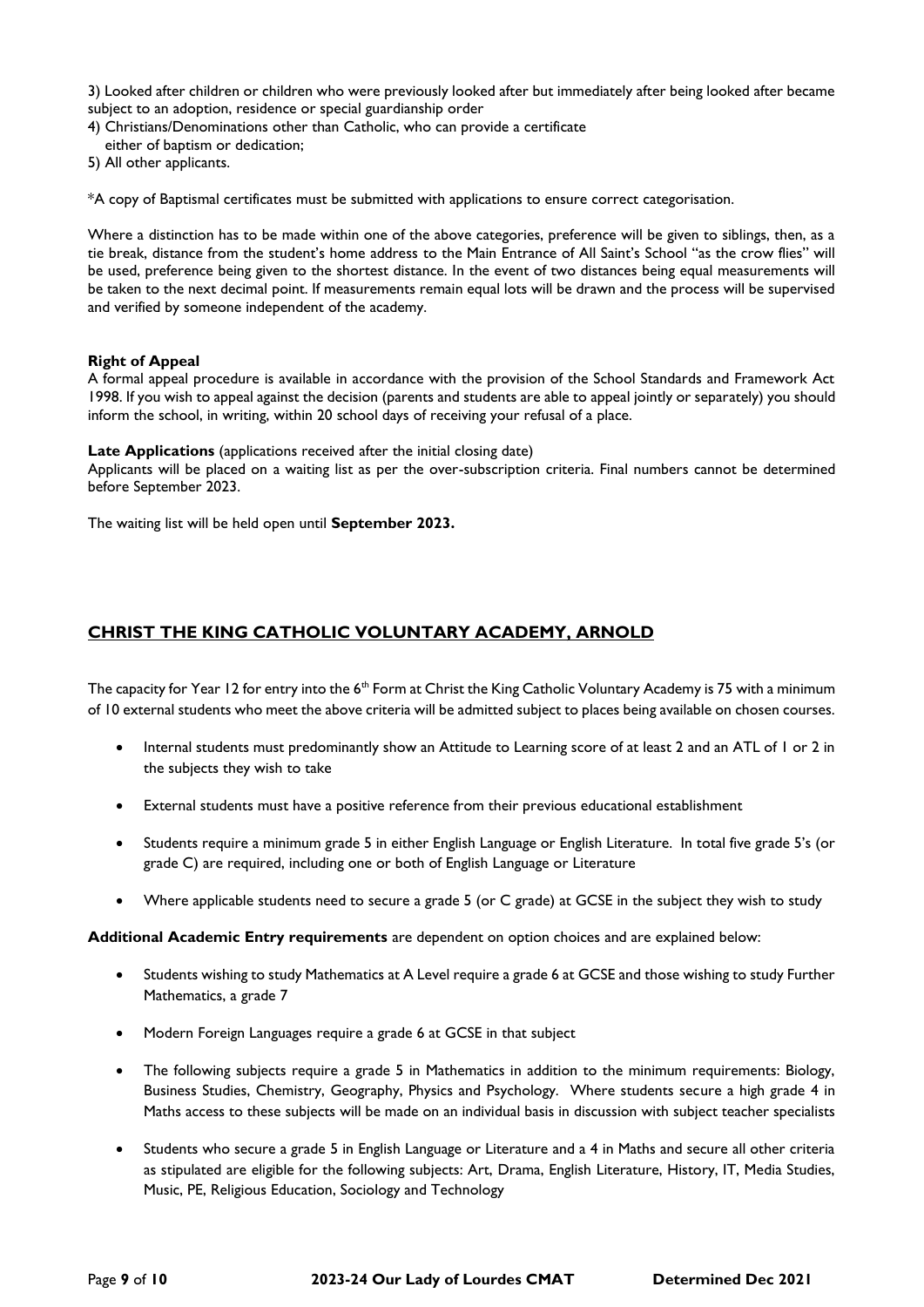3) Looked after children or children who were previously looked after but immediately after being looked after became subject to an adoption, residence or special guardianship order

4) Christians/Denominations other than Catholic, who can provide a certificate

- either of baptism or dedication;
- 5) All other applicants.

\*A copy of Baptismal certificates must be submitted with applications to ensure correct categorisation.

Where a distinction has to be made within one of the above categories, preference will be given to siblings, then, as a tie break, distance from the student's home address to the Main Entrance of All Saint's School "as the crow flies" will be used, preference being given to the shortest distance. In the event of two distances being equal measurements will be taken to the next decimal point. If measurements remain equal lots will be drawn and the process will be supervised and verified by someone independent of the academy.

#### **Right of Appeal**

A formal appeal procedure is available in accordance with the provision of the School Standards and Framework Act 1998. If you wish to appeal against the decision (parents and students are able to appeal jointly or separately) you should inform the school, in writing, within 20 school days of receiving your refusal of a place.

#### **Late Applications** (applications received after the initial closing date)

Applicants will be placed on a waiting list as per the over-subscription criteria. Final numbers cannot be determined before September 2023.

The waiting list will be held open until **September 2023.**

# **CHRIST THE KING CATHOLIC VOLUNTARY ACADEMY, ARNOLD**

The capacity for Year 12 for entry into the 6<sup>th</sup> Form at Christ the King Catholic Voluntary Academy is 75 with a minimum of 10 external students who meet the above criteria will be admitted subject to places being available on chosen courses.

- Internal students must predominantly show an Attitude to Learning score of at least 2 and an ATL of 1 or 2 in the subjects they wish to take
- External students must have a positive reference from their previous educational establishment
- Students require a minimum grade 5 in either English Language or English Literature. In total five grade 5's (or grade C) are required, including one or both of English Language or Literature
- Where applicable students need to secure a grade 5 (or C grade) at GCSE in the subject they wish to study

**Additional Academic Entry requirements** are dependent on option choices and are explained below:

- Students wishing to study Mathematics at A Level require a grade 6 at GCSE and those wishing to study Further Mathematics, a grade 7
- Modern Foreign Languages require a grade 6 at GCSE in that subject
- The following subjects require a grade 5 in Mathematics in addition to the minimum requirements: Biology, Business Studies, Chemistry, Geography, Physics and Psychology. Where students secure a high grade 4 in Maths access to these subjects will be made on an individual basis in discussion with subject teacher specialists
- Students who secure a grade 5 in English Language or Literature and a 4 in Maths and secure all other criteria as stipulated are eligible for the following subjects: Art, Drama, English Literature, History, IT, Media Studies, Music, PE, Religious Education, Sociology and Technology